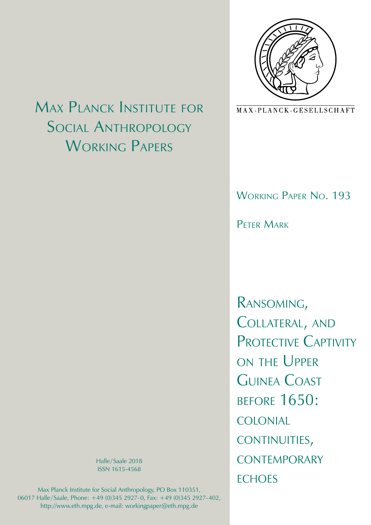

MAX-PLANCK-GESELLSCHAFT

# Working Paper No. 193

PFTFR MARK

Ransoming, Collateral, and PROTECTIVE CAPTIVITY on the Upper Guinea Coast before 1650: colonial continuities, **CONTEMPORARY FCHOES** 

Max Planck Institute for Social Anthropology WORKING PAPERS

> Halle/Saale 2018 ISSN 1615-4568

Max Planck Institute for Social Anthropology, PO Box 110351, 06017 Halle/Saale, Phone: +49 (0)345 2927-0, Fax: +49 (0)345 2927-402, http://www.eth.mpg.de, e-mail: workingpaper@eth.mpg.de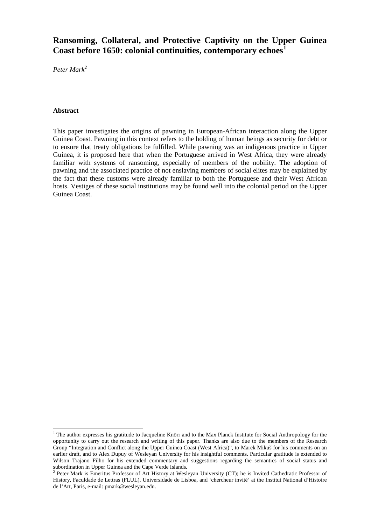## **Ransoming, Collateral, and Protective Captivity on the Upper Guinea Coast before 1650: colonial continuities, contemporary echoes[1](#page-1-0)**

*Peter Mark[2](#page-1-1)*

#### **Abstract**

This paper investigates the origins of pawning in European-African interaction along the Upper Guinea Coast. Pawning in this context refers to the holding of human beings as security for debt or to ensure that treaty obligations be fulfilled. While pawning was an indigenous practice in Upper Guinea, it is proposed here that when the Portuguese arrived in West Africa, they were already familiar with systems of ransoming, especially of members of the nobility. The adoption of pawning and the associated practice of not enslaving members of social elites may be explained by the fact that these customs were already familiar to both the Portuguese and their West African hosts. Vestiges of these social institutions may be found well into the colonial period on the Upper Guinea Coast.

<span id="page-1-2"></span><span id="page-1-0"></span><sup>&</sup>lt;sup>1</sup> The author expresses his gratitude to Jacqueline Knörr and to the Max Planck Institute for Social Anthropology for the opportunity to carry out the research and writing of this paper. Thanks are also due to the members of the Research Group "Integration and Conflict along the Upper Guinea Coast (West Africa)", to Marek Mikuš for his comments on an earlier draft, and to Alex Dupuy of Wesleyan University for his insightful comments. Particular gratitude is extended to Wilson Trajano Filho for his extended commentary and suggestions regarding the semantics of social status and subordination in Upper Guinea and the Cape Verde Islands.

<span id="page-1-1"></span> $2$  Peter Mark is Emeritus Professor of Art History at Wesleyan University (CT); he is Invited Cathedratic Professor of History, Faculdade de Lettras (FLUL), Universidade de Lisboa, and 'chercheur invité' at the Institut National d'Histoire de l'Art, Paris, e-mail: pmark@wesleyan.edu.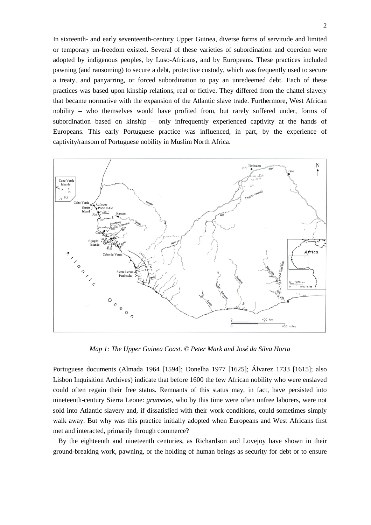In sixteenth- and early seventeenth-century Upper Guinea, diverse forms of servitude and limited or temporary un-freedom existed. Several of these varieties of subordination and coercion were adopted by indigenous peoples, by Luso-Africans, and by Europeans. These practices included pawning (and ransoming) to secure a debt, protective custody, which was frequently used to secure a treaty, and panyarring, or forced subordination to pay an unredeemed debt. Each of these practices was based upon kinship relations, real or fictive. They differed from the chattel slavery that became normative with the expansion of the Atlantic slave trade. Furthermore, West African nobility – who themselves would have profited from, but rarely suffered under, forms of subordination based on kinship – only infrequently experienced captivity at the hands of Europeans. This early Portuguese practice was influenced, in part, by the experience of captivity/ransom of Portuguese nobility in Muslim North Africa.



*Map 1: The Upper Guinea Coast. © Peter Mark and José da Silva Horta*

Portuguese documents (Almada 1964 [1594]; Donelha 1977 [1625]; Álvarez 1733 [1615]; also Lisbon Inquisition Archives) indicate that before 1600 the few African nobility who were enslaved could often regain their free status. Remnants of this status may, in fact, have persisted into nineteenth-century Sierra Leone: *grumetes*, who by this time were often unfree laborers, were not sold into Atlantic slavery and, if dissatisfied with their work conditions, could sometimes simply walk away. But why was this practice initially adopted when Europeans and West Africans first met and interacted, primarily through commerce?

By the eighteenth and nineteenth centuries, as Richardson and Lovejoy have shown in their ground-breaking work, pawning, or the holding of human beings as security for debt or to ensure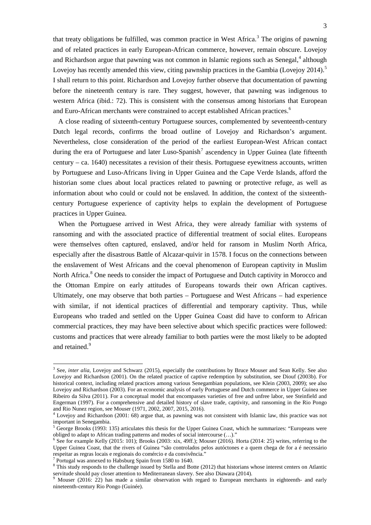that treaty obligations be fulfilled, was common practice in West Africa.<sup>[3](#page-1-2)</sup> The origins of pawning and of related practices in early European-African commerce, however, remain obscure. Lovejoy and Richardson argue that pawning was not common in Islamic regions such as Senegal,<sup>[4](#page-3-0)</sup> although Lovejoy has recently amended this view, citing pawnship practices in the Gambia (Lovejoy 2014).<sup>[5](#page-3-1)</sup> I shall return to this point. Richardson and Lovejoy further observe that documentation of pawning before the nineteenth century is rare. They suggest, however, that pawning was indigenous to western Africa (ibid.: 72). This is consistent with the consensus among historians that European and Euro-African merchants were constrained to accept established African practices.<sup>[6](#page-3-2)</sup>

A close reading of sixteenth-century Portuguese sources, complemented by seventeenth-century Dutch legal records, confirms the broad outline of Lovejoy and Richardson's argument. Nevertheless, close consideration of the period of the earliest European-West African contact during the era of Portuguese and later Luso-Spanish<sup>[7](#page-3-3)</sup> ascendency in Upper Guinea (late fifteenth century – ca. 1640) necessitates a revision of their thesis. Portuguese eyewitness accounts, written by Portuguese and Luso-Africans living in Upper Guinea and the Cape Verde Islands, afford the historian some clues about local practices related to pawning or protective refuge, as well as information about who could or could not be enslaved. In addition, the context of the sixteenthcentury Portuguese experience of captivity helps to explain the development of Portuguese practices in Upper Guinea.

When the Portuguese arrived in West Africa, they were already familiar with systems of ransoming and with the associated practice of differential treatment of social elites. Europeans were themselves often captured, enslaved, and/or held for ransom in Muslim North Africa, especially after the disastrous Battle of Alcazar-quivir in 1578. I focus on the connections between the enslavement of West Africans and the coeval phenomenon of European captivity in Muslim North Africa.<sup>[8](#page-3-4)</sup> One needs to consider the impact of Portuguese and Dutch captivity in Morocco and the Ottoman Empire on early attitudes of Europeans towards their own African captives. Ultimately, one may observe that both parties – Portuguese and West Africans – had experience with similar, if not identical practices of differential and temporary captivity. Thus, while Europeans who traded and settled on the Upper Guinea Coast did have to conform to African commercial practices, they may have been selective about which specific practices were followed: customs and practices that were already familiar to both parties were the most likely to be adopted and retained.<sup>[9](#page-3-5)</sup>

<sup>&</sup>lt;sup>3</sup> See, *inter alia*, Lovejoy and Schwarz (2015), especially the contributions by Bruce Mouser and Sean Kelly. See also Lovejoy and Richardson (2001). On the related practice of captive redemption by substitution, see Diouf (2003b). For historical context, including related practices among various Senegambian populations, see Klein (2003, 2009); see also Lovejoy and Richardson (2003). For an economic analysis of early Portuguese and Dutch commerce in Upper Guinea see Ribeiro da Silva (2011). For a conceptual model that encompasses varieties of free and unfree labor, see Steinfield and Engerman (1997). For a comprehensive and detailed history of slave trade, captivity, and ransoming in the Rio Pongo and Rio Nunez region, see Mouser (1971, 2002, 2007, 2015, 2016).

<span id="page-3-0"></span><sup>&</sup>lt;sup>4</sup> Lovejoy and Richardson (2001: 68) argue that, as pawning was not consistent with Islamic law, this practice was not important in Senegambia.

<span id="page-3-1"></span><sup>&</sup>lt;sup>5</sup> George Brooks (1993: 135) articulates this thesis for the Upper Guinea Coast, which he summarizes: "Europeans were obliged to adapt to African trading patterns and modes of social intercourse (…)."

<span id="page-3-2"></span>See for example Kelly (2015: 101); Brooks (2003: xix, 49ff.); Mouser (2016). Horta (2014: 25) writes, referring to the Upper Guinea Coast, that the rivers of Guinea "são controlados pelos autóctones e a quem chega de for a é necessário respeitar as regras locais e regionais do comércio e da convivência."<br><sup>7</sup> Portugal was annexed to Habsburg Spain from 1580 to 1640.

<span id="page-3-4"></span><span id="page-3-3"></span> $8$  This study responds to the challenge issued by Stella and Botte (2012) that historians whose interest centers on Atlantic servitude should pay closer attention to Mediterranean slavery. See also Diawara (2014).

<span id="page-3-5"></span><sup>9</sup> Mouser (2016: 22) has made a similar observation with regard to European merchants in eighteenth- and early nineteenth-century Rio Pongo (Guinée).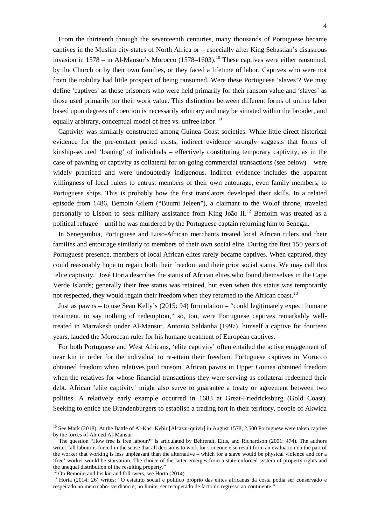From the thirteenth through the seventeenth centuries, many thousands of Portuguese became captives in the Muslim city-states of North Africa or – especially after King Sebastian's disastrous invasion in  $1578 -$  in Al-Mansur's Morocco  $(1578-1603)$ <sup>[10](#page-3-1)</sup> These captives were either ransomed, by the Church or by their own families, or they faced a lifetime of labor. Captives who were not from the nobility had little prospect of being ransomed. Were these Portuguese 'slaves'? We may define 'captives' as those prisoners who were held primarily for their ransom value and 'slaves' as those used primarily for their work value. This distinction between different forms of unfree labor based upon degrees of coercion is necessarily arbitrary and may be situated within the broader, and equally arbitrary, conceptual model of free vs. unfree labor.<sup>[11](#page-4-0)</sup>

Captivity was similarly constructed among Guinea Coast societies. While little direct historical evidence for the pre-contact period exists, indirect evidence strongly suggests that forms of kinship-secured 'loaning' of individuals – effectively constituting temporary captivity, as in the case of pawning or captivity as collateral for on-going commercial transactions (see below) – were widely practiced and were undoubtedly indigenous. Indirect evidence includes the apparent willingness of local rulers to entrust members of their own entourage, even family members, to Portuguese ships. This is probably how the first translators developed their skills. In a related episode from 1486, Bemoin Gilem ("Buumi Jeleen"), a claimant to the Wolof throne, traveled personally to Lisbon to seek military assistance from King João II.<sup>[12](#page-4-1)</sup> Bemoim was treated as a political refugee – until he was murdered by the Portuguese captain returning him to Senegal.

In Senegambia, Portuguese and Luso-African merchants treated local African rulers and their families and entourage similarly to members of their own social elite. During the first 150 years of Portuguese presence, members of local African elites rarely became captives. When captured, they could reasonably hope to regain both their freedom and their prior social status. We may call this 'elite captivity.' José Horta describes the status of African elites who found themselves in the Cape Verde Islands; generally their free status was retained, but even when this status was temporarily not respected, they would regain their freedom when they returned to the African coast.<sup>[13](#page-4-2)</sup>

Just as pawns – to use Sean Kelly's (2015: 94) formulation – "could legitimately expect humane treatment, to say nothing of redemption," so, too, were Portuguese captives remarkably welltreated in Marrakesh under Al-Mansur. Antonio Saldanha (1997), himself a captive for fourteen years, lauded the Moroccan ruler for his humane treatment of European captives.

For both Portuguese and West Africans, 'elite captivity' often entailed the active engagement of near kin in order for the individual to re-attain their freedom. Portuguese captives in Morocco obtained freedom when relatives paid ransom. African pawns in Upper Guinea obtained freedom when the relatives for whose financial transactions they were serving as collateral redeemed their debt. African 'elite captivity' might also serve to guarantee a treaty or agreement between two polities. A relatively early example occurred in 1683 at Great-Friedricksburg (Gold Coast). Seeking to entice the Brandenburgers to establish a trading fort in their territory, people of Akwida

<span id="page-4-3"></span><sup>&</sup>lt;sup>10</sup> See Mark (2018). At the Battle of Al-Kasr Kebir [Alcazar-quivir] in August 1578, 2,500 Portuguese were taken captive by the forces of Ahmed Al-Mansur.

<span id="page-4-0"></span>The question "How free is free labour?" is articulated by Behrendt, Eltis, and Richardson (2001: 474). The authors write: "all labour is forced in the sense that all decisions to work for someone else result from an evaluation on the part of the worker that working is less unpleasant than the alternative – which for a slave would be physical violence and for a 'free' worker would be starvation. The choice of the latter emerges from a state-enforced system of property rights and

<span id="page-4-2"></span><span id="page-4-1"></span><sup>&</sup>lt;sup>12</sup> On Bemoim and his kin and followers, see Horta (2014).<br><sup>13</sup> Horta (2014: 26) writes: "O estatuto social e político próprio das elites africanas da costa podia ser conservado e respeitado no meio cabo- verdiano e, no limite, ser recuperado de facto no regresso ao continente."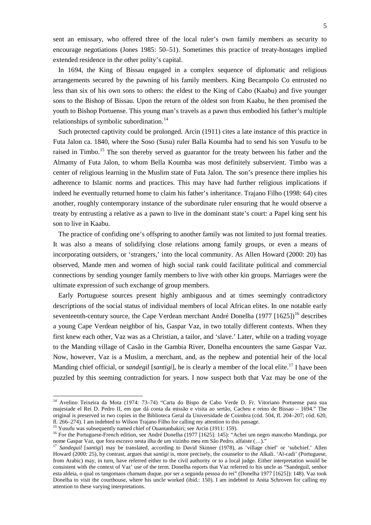sent an emissary, who offered three of the local ruler's own family members as security to encourage negotiations (Jones 1985: 50–51). Sometimes this practice of treaty-hostages implied extended residence in the other polity's capital.

In 1694, the King of Bissau engaged in a complex sequence of diplomatic and religious arrangements secured by the pawning of his family members. King Becampolo Co entrusted no less than six of his own sons to others: the eldest to the King of Cabo (Kaabu) and five younger sons to the Bishop of Bissau. Upon the return of the oldest son from Kaabu, he then promised the youth to Bishop Portuense. This young man's travels as a pawn thus embodied his father's multiple relationships of symbolic subordination.<sup>[14](#page-4-3)</sup>

Such protected captivity could be prolonged. Arcin (1911) cites a late instance of this practice in Futa Jalon ca. 1840, where the Soso (Susu) ruler Balla Koumba had to send his son Yusufu to be raised in Timbo.<sup>[15](#page-5-0)</sup> The son thereby served as guarantor for the treaty between his father and the Almamy of Futa Jalon, to whom Bella Koumba was most definitely subservient. Timbo was a center of religious learning in the Muslim state of Futa Jalon. The son's presence there implies his adherence to Islamic norms and practices. This may have had further religious implications if indeed he eventually returned home to claim his father's inheritance. Trajano Filho (1998: 64) cites another, roughly contemporary instance of the subordinate ruler ensuring that he would observe a treaty by entrusting a relative as a pawn to live in the dominant state's court: a Papel king sent his son to live in Kaabu.

The practice of confiding one's offspring to another family was not limited to just formal treaties. It was also a means of solidifying close relations among family groups, or even a means of incorporating outsiders, or 'strangers,' into the local community. As Allen Howard (2000: 20) has observed, Mande men and women of high social rank could facilitate political and commercial connections by sending younger family members to live with other kin groups. Marriages were the ultimate expression of such exchange of group members.

Early Portuguese sources present highly ambiguous and at times seemingly contradictory descriptions of the social status of individual members of local African elites. In one notable early seventeenth-century source, the Cape Verdean merchant André Donelha (1977 [[16](#page-5-1)25])<sup>16</sup> describes a young Cape Verdean neighbor of his, Gaspar Vaz, in two totally different contexts. When they first knew each other, Vaz was as a Christian, a tailor, and 'slave.' Later, while on a trading voyage to the Manding village of Casão in the Gambia River, Donelha encounters the same Gaspar Vaz. Now, however, Vaz is a Muslim, a merchant, and, as the nephew and potential heir of the local Manding chief official, or *sandegil* [*santigi*], he is clearly a member of the local elite.<sup>[17](#page-5-2)</sup> I have been puzzled by this seeming contradiction for years. I now suspect both that Vaz may be one of the

<sup>&</sup>lt;sup>14</sup> Avelino Teixeira da Mota (1974: 73-74) "Carta do Bispo de Cabo Verde D. Fr. Vitoriano Portuense para sua majestade el Rei D. Pedro II, em que dá conta da missão e visita ao sertão, Cacheu e reino de Bissao – 1694." The original is preserved in two copies in the Biblioteca Geral da Universidade de Coimbra (cód. 504, fl. 204–207; cód. 620, fl. 266–274). I am indebted to Wilson Trajano Filho for calling my attention to this passage.

<span id="page-5-1"></span>

<span id="page-5-0"></span><sup>&</sup>lt;sup>15</sup> Yusufu was subsequently named chief of Ouantanbakiri; see Arcin (1911: 159).<br><sup>16</sup> For the Portuguese-French edition, see André Donelha (1977 [1625]: 145): "Achei um negro mancebo Mandinga, por<br>nome Gaspar Vaz, que fo

<span id="page-5-3"></span><span id="page-5-2"></span><sup>&</sup>lt;sup>7</sup> Sandeguil [santigi] may be translated, according to David Skinner (1978), as 'village chief' or 'subchief.' Allen Howard (2000: 25), by contrast, argues that *santigi* is, more precisely, the counselor to the Alkali. 'Al-cadi' (Portuguese, from Arabic) may, in turn, have referred either to the civil authority or to a local judge. Either interpretation would be consistent with the context of Vaz' use of the term. Donelha reports that Vaz referred to his uncle as "Sandeguil, senhor esta aldeia, o qual os tangomaos chamam duque, por ser a segunda pessoa do rei" (Donelha 1977 [1625]): 148). Vaz took Donelha to visit the courthouse, where his uncle worked (ibid.: 150). I am indebted to Anita Schroven for calling my attention to these varying interpretations.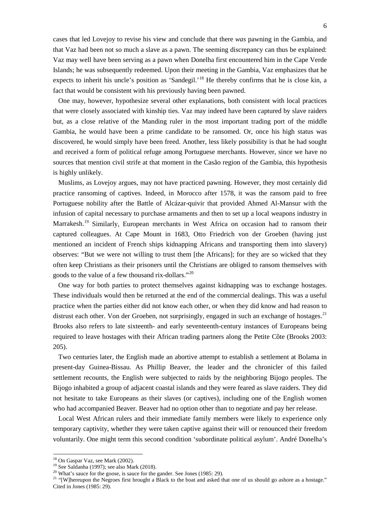cases that led Lovejoy to revise his view and conclude that there *was* pawning in the Gambia, and that Vaz had been not so much a slave as a pawn. The seeming discrepancy can thus be explained: Vaz may well have been serving as a pawn when Donelha first encountered him in the Cape Verde Islands; he was subsequently redeemed. Upon their meeting in the Gambia, Vaz emphasizes that he expects to inherit his uncle's position as 'Sandegil.'<sup>[18](#page-5-3)</sup> He thereby confirms that he is close kin, a fact that would be consistent with his previously having been pawned.

One may, however, hypothesize several other explanations, both consistent with local practices that were closely associated with kinship ties. Vaz may indeed have been captured by slave raiders but, as a close relative of the Manding ruler in the most important trading port of the middle Gambia, he would have been a prime candidate to be ransomed. Or, once his high status was discovered, he would simply have been freed. Another, less likely possibility is that he had sought and received a form of political refuge among Portuguese merchants. However, since we have no sources that mention civil strife at that moment in the Casão region of the Gambia, this hypothesis is highly unlikely.

Muslims, as Lovejoy argues, may not have practiced pawning. However, they most certainly did practice ransoming of captives. Indeed, in Morocco after 1578, it was the ransom paid to free Portuguese nobility after the Battle of Alcázar-quivir that provided Ahmed Al-Mansur with the infusion of capital necessary to purchase armaments and then to set up a local weapons industry in Marrakesh.<sup>[19](#page-6-0)</sup> Similarly, European merchants in West Africa on occasion had to ransom their captured colleagues. At Cape Mount in 1683, Otto Friedrich von der Groeben (having just mentioned an incident of French ships kidnapping Africans and transporting them into slavery) observes: "But we were not willing to trust them [the Africans]; for they are so wicked that they often keep Christians as their prisoners until the Christians are obliged to ransom themselves with goods to the value of a few thousand rix-dollars."<sup>[20](#page-6-1)</sup>

One way for both parties to protect themselves against kidnapping was to exchange hostages. These individuals would then be returned at the end of the commercial dealings. This was a useful practice when the parties either did not know each other, or when they did know and had reason to distrust each other. Von der Groeben, not surprisingly, engaged in such an exchange of hostages.<sup>[21](#page-6-2)</sup> Brooks also refers to late sixteenth- and early seventeenth-century instances of Europeans being required to leave hostages with their African trading partners along the Petite Côte (Brooks 2003: 205).

Two centuries later, the English made an abortive attempt to establish a settlement at Bolama in present-day Guinea-Bissau. As Phillip Beaver, the leader and the chronicler of this failed settlement recounts, the English were subjected to raids by the neighboring Bijogo peoples. The Bijogo inhabited a group of adjacent coastal islands and they were feared as slave raiders. They did not hesitate to take Europeans as their slaves (or captives), including one of the English women who had accompanied Beaver. Beaver had no option other than to negotiate and pay her release.

<span id="page-6-3"></span>Local West African rulers and their immediate family members were likely to experience only temporary captivity, whether they were taken captive against their will or renounced their freedom voluntarily. One might term this second condition 'subordinate political asylum'. André Donelha's

<span id="page-6-2"></span><span id="page-6-1"></span>

<span id="page-6-0"></span><sup>&</sup>lt;sup>18</sup> On Gaspar Vaz, see Mark (2002).<br><sup>19</sup> See Saldanha (1997); see also Mark (2018).<br><sup>20</sup> What's sauce for the goose, is sauce for the gander. See Jones (1985: 29).<br><sup>21</sup> "[W]hereupon the Negroes first brought a Black to t Cited in Jones (1985: 29).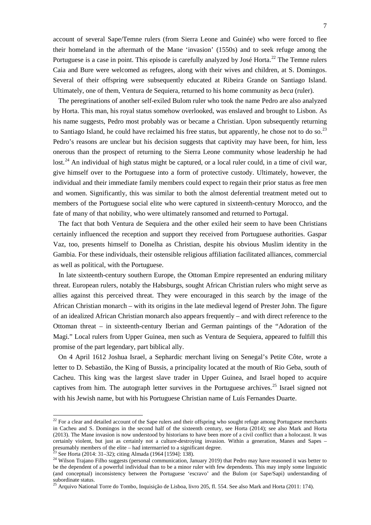account of several Sape/Temne rulers (from Sierra Leone and Guinée) who were forced to flee their homeland in the aftermath of the Mane 'invasion' (1550s) and to seek refuge among the Portuguese is a case in point. This episode is carefully analyzed by José Horta.<sup>[22](#page-6-3)</sup> The Temne rulers Caia and Bure were welcomed as refugees, along with their wives and children, at S. Domingos. Several of their offspring were subsequently educated at Ribeira Grande on Santiago Island. Ultimately, one of them, Ventura de Sequiera, returned to his home community as *beca* (ruler)*.*

The peregrinations of another self-exiled Bulom ruler who took the name Pedro are also analyzed by Horta. This man, his royal status somehow overlooked, was enslaved and brought to Lisbon. As his name suggests, Pedro most probably was or became a Christian. Upon subsequently returning to Santiago Island, he could have reclaimed his free status, but apparently, he chose not to do so.<sup>[23](#page-7-0)</sup> Pedro's reasons are unclear but his decision suggests that captivity may have been, for him, less onerous than the prospect of returning to the Sierra Leone community whose leadership he had lost.<sup>[24](#page-7-1)</sup> An individual of high status might be captured, or a local ruler could, in a time of civil war, give himself over to the Portuguese into a form of protective custody. Ultimately, however, the individual and their immediate family members could expect to regain their prior status as free men and women. Significantly, this was similar to both the almost deferential treatment meted out to members of the Portuguese social elite who were captured in sixteenth-century Morocco, and the fate of many of that nobility, who were ultimately ransomed and returned to Portugal.

The fact that both Ventura de Sequiera and the other exiled heir seem to have been Christians certainly influenced the reception and support they received from Portuguese authorities. Gaspar Vaz, too, presents himself to Donelha as Christian, despite his obvious Muslim identity in the Gambia. For these individuals, their ostensible religious affiliation facilitated alliances, commercial as well as political, with the Portuguese.

In late sixteenth-century southern Europe, the Ottoman Empire represented an enduring military threat. European rulers, notably the Habsburgs, sought African Christian rulers who might serve as allies against this perceived threat. They were encouraged in this search by the image of the African Christian monarch – with its origins in the late medieval legend of Prester John. The figure of an idealized African Christian monarch also appears frequently – and with direct reference to the Ottoman threat – in sixteenth-century Iberian and German paintings of the "Adoration of the Magi." Local rulers from Upper Guinea, men such as Ventura de Sequiera, appeared to fulfill this promise of the part legendary, part biblical ally.

On 4 April 1612 Joshua Israel, a Sephardic merchant living on Senegal's Petite Côte, wrote a letter to D. Sebastião, the King of Bussis, a principality located at the mouth of Rio Geba, south of Cacheu. This king was the largest slave trader in Upper Guinea, and Israel hoped to acquire captives from him. The autograph letter survives in the Portuguese archives.<sup>[25](#page-7-2)</sup> Israel signed not with his Jewish name, but with his Portuguese Christian name of Luís Fernandes Duarte.

<sup>&</sup>lt;sup>22</sup> For a clear and detailed account of the Sape rulers and their offspring who sought refuge among Portuguese merchants in Cacheu and S. Domingos in the second half of the sixteenth century, see Horta (2014); see also Mark and Horta (2013). The Mane invasion is now understood by historians to have been more of a civil conflict than a holocaust. It was certainly violent, but just as certainly not a culture-destroying invasion. Within a generation, Manes and Sapes – presumably members of the elite – had intermarried to a significant degree.<br><sup>23</sup> See Horta (2014: 31–32); c

<span id="page-7-0"></span>

<span id="page-7-1"></span><sup>&</sup>lt;sup>24</sup> Wilson Trajano Filho suggests (personal communication, January 2019) that Pedro may have reasoned it was better to be the dependent of a powerful individual than to be a minor ruler with few dependents. This may imply some linguistic (and conceptual) inconsistency between the Portuguese 'escravo' and the Bulom (or Sape/Sapi) understanding of subordinate status.

<span id="page-7-3"></span><span id="page-7-2"></span><sup>&</sup>lt;sup>25</sup> Arquivo National Torre do Tombo, Inquisição de Lisboa, livro 205, fl. 554. See also Mark and Horta (2011: 174).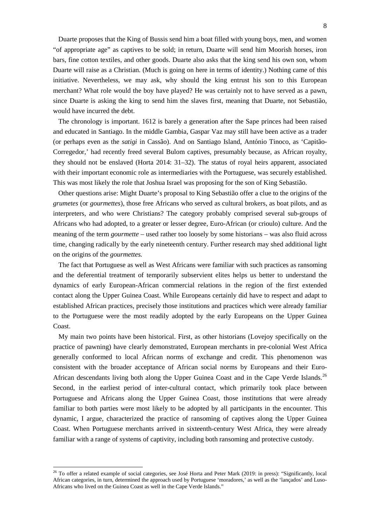Duarte proposes that the King of Bussis send him a boat filled with young boys, men, and women "of appropriate age" as captives to be sold; in return, Duarte will send him Moorish horses, iron bars, fine cotton textiles, and other goods. Duarte also asks that the king send his own son, whom Duarte will raise as a Christian. (Much is going on here in terms of identity.) Nothing came of this initiative. Nevertheless, we may ask, why should the king entrust his son to this European merchant? What role would the boy have played? He was certainly not to have served as a pawn, since Duarte is asking the king to send him the slaves first, meaning that Duarte, not Sebastião, would have incurred the debt.

The chronology is important. 1612 is barely a generation after the Sape princes had been raised and educated in Santiago. In the middle Gambia, Gaspar Vaz may still have been active as a trader (or perhaps even as the *satigi* in Cassão). And on Santiago Island, António Tinoco, as 'Capitão-Corregedor,' had recently freed several Bulom captives, presumably because, as African royalty, they should not be enslaved (Horta 2014: 31–32). The status of royal heirs apparent, associated with their important economic role as intermediaries with the Portuguese, was securely established. This was most likely the role that Joshua Israel was proposing for the son of King Sebastião.

Other questions arise: Might Duarte's proposal to King Sebastião offer a clue to the origins of the *grumetes* (or *gourmettes*), those free Africans who served as cultural brokers, as boat pilots, and as interpreters, and who were Christians? The category probably comprised several sub-groups of Africans who had adopted, to a greater or lesser degree, Euro-African (or crioulo) culture. And the meaning of the term *gourmette* – used rather too loosely by some historians – was also fluid across time, changing radically by the early nineteenth century. Further research may shed additional light on the origins of the *gourmettes.*

The fact that Portuguese as well as West Africans were familiar with such practices as ransoming and the deferential treatment of temporarily subservient elites helps us better to understand the dynamics of early European-African commercial relations in the region of the first extended contact along the Upper Guinea Coast. While Europeans certainly did have to respect and adapt to established African practices, precisely those institutions and practices which were already familiar to the Portuguese were the most readily adopted by the early Europeans on the Upper Guinea Coast.

My main two points have been historical. First, as other historians (Lovejoy specifically on the practice of pawning) have clearly demonstrated, European merchants in pre-colonial West Africa generally conformed to local African norms of exchange and credit. This phenomenon was consistent with the broader acceptance of African social norms by Europeans and their Euro-African descendants living both along the Upper Guinea Coast and in the Cape Verde Islands.<sup>[26](#page-7-3)</sup> Second, in the earliest period of inter-cultural contact, which primarily took place between Portuguese and Africans along the Upper Guinea Coast, those institutions that were already familiar to both parties were most likely to be adopted by all participants in the encounter*.* This dynamic, I argue, characterized the practice of ransoming of captives along the Upper Guinea Coast. When Portuguese merchants arrived in sixteenth-century West Africa, they were already familiar with a range of systems of captivity, including both ransoming and protective custody.

<span id="page-8-0"></span><sup>&</sup>lt;sup>26</sup> To offer a related example of social categories, see José Horta and Peter Mark (2019: in press): "Significantly, local African categories, in turn, determined the approach used by Portuguese 'moradores,' as well as the 'lançados' and Luso-Africans who lived on the Guinea Coast as well in the Cape Verde Islands."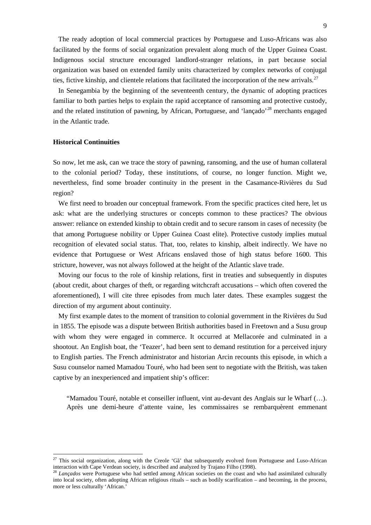The ready adoption of local commercial practices by Portuguese and Luso-Africans was also facilitated by the forms of social organization prevalent along much of the Upper Guinea Coast. Indigenous social structure encouraged landlord-stranger relations, in part because social organization was based on extended family units characterized by complex networks of conjugal ties, fictive kinship, and clientele relations that facilitated the incorporation of the new arrivals.<sup>[27](#page-8-0)</sup>

In Senegambia by the beginning of the seventeenth century, the dynamic of adopting practices familiar to both parties helps to explain the rapid acceptance of ransoming and protective custody, and the related institution of pawning, by African, Portuguese, and 'lançado'<sup>[28](#page-9-0)</sup> merchants engaged in the Atlantic trade.

#### **Historical Continuities**

So now, let me ask, can we trace the story of pawning, ransoming, and the use of human collateral to the colonial period? Today, these institutions, of course, no longer function. Might we, nevertheless, find some broader continuity in the present in the Casamance-Rivières du Sud region?

We first need to broaden our conceptual framework. From the specific practices cited here, let us ask: what are the underlying structures or concepts common to these practices? The obvious answer: reliance on extended kinship to obtain credit and to secure ransom in cases of necessity (be that among Portuguese nobility or Upper Guinea Coast elite). Protective custody implies mutual recognition of elevated social status. That, too, relates to kinship, albeit indirectly. We have no evidence that Portuguese or West Africans enslaved those of high status before 1600. This stricture, however, was not always followed at the height of the Atlantic slave trade.

Moving our focus to the role of kinship relations, first in treaties and subsequently in disputes (about credit, about charges of theft, or regarding witchcraft accusations – which often covered the aforementioned), I will cite three episodes from much later dates. These examples suggest the direction of my argument about continuity.

My first example dates to the moment of transition to colonial government in the Rivières du Sud in 1855. The episode was a dispute between British authorities based in Freetown and a Susu group with whom they were engaged in commerce. It occurred at Mellacorée and culminated in a shootout. An English boat, the 'Teazer', had been sent to demand restitution for a perceived injury to English parties. The French administrator and historian Arcin recounts this episode, in which a Susu counselor named Mamadou Touré, who had been sent to negotiate with the British, was taken captive by an inexperienced and impatient ship's officer:

"Mamadou Touré, notable et conseiller influent, vint au-devant des Anglais sur le Wharf (…). Après une demi-heure d'attente vaine, les commissaires se rembarquèrent emmenant

 $27$  This social organization, along with the Creole 'Ga<sup>\*</sup> that subsequently evolved from Portuguese and Luso-African interaction with Cape Verdean society, is described and analyzed by Trajano Filho (1998). 28 *Lançados* were Portuguese who had settled among African societies on the coast and who had assimilated culturally

<span id="page-9-0"></span>into local society, often adopting African religious rituals – such as bodily scarification – and becoming, in the process, more or less culturally 'African.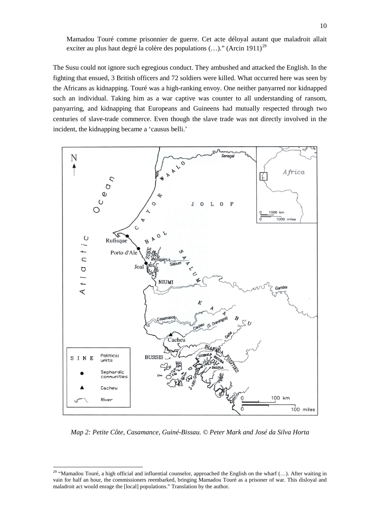Mamadou Touré comme prisonnier de guerre. Cet acte déloyal autant que maladroit allait exciter au plus haut degré la colère des populations  $(...)$ ." (Arcin 1911)<sup>[29](#page-9-0)</sup>

The Susu could not ignore such egregious conduct. They ambushed and attacked the English. In the fighting that ensued, 3 British officers and 72 soldiers were killed. What occurred here was seen by the Africans as kidnapping. Touré was a high-ranking envoy. One neither panyarred nor kidnapped such an individual. Taking him as a war captive was counter to all understanding of ransom, panyarring, and kidnapping that Europeans and Guineens had mutually respected through two centuries of slave-trade commerce. Even though the slave trade was not directly involved in the incident, the kidnapping became a 'causus belli.'



*Map 2: Petite Côte, Casamance, Guiné-Bissau. © Peter Mark and José da Silva Horta*

<span id="page-10-0"></span><sup>&</sup>lt;sup>29</sup> "Mamadou Touré, a high official and influential counselor, approached the English on the wharf  $(...)$ . After waiting in vain for half an hour, the commissioners reembarked, bringing Mamadou Touré as a prisoner of war. This disloyal and maladroit act would enrage the [local] populations." Translation by the author.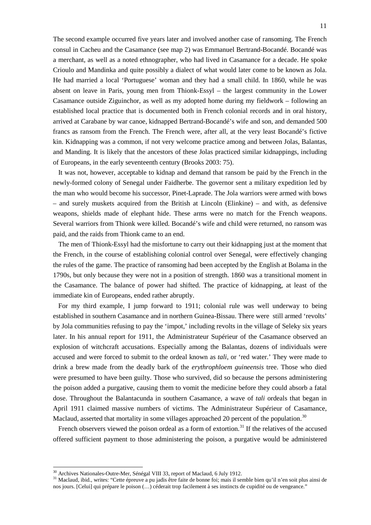The second example occurred five years later and involved another case of ransoming. The French consul in Cacheu and the Casamance (see map 2) was Emmanuel Bertrand-Bocandé. Bocandé was a merchant, as well as a noted ethnographer, who had lived in Casamance for a decade. He spoke Crioulo and Mandinka and quite possibly a dialect of what would later come to be known as Jola. He had married a local 'Portuguese' woman and they had a small child. In 1860, while he was absent on leave in Paris, young men from Thionk-Essyl – the largest community in the Lower Casamance outside Ziguinchor, as well as my adopted home during my fieldwork – following an established local practice that is documented both in French colonial records and in oral history, arrived at Carabane by war canoe, kidnapped Bertrand-Bocandé's wife and son, and demanded 500 francs as ransom from the French. The French were, after all, at the very least Bocandé's fictive kin. Kidnapping was a common, if not very welcome practice among and between Jolas, Balantas, and Manding. It is likely that the ancestors of these Jolas practiced similar kidnappings, including of Europeans, in the early seventeenth century (Brooks 2003: 75).

It was not, however, acceptable to kidnap and demand that ransom be paid by the French in the newly-formed colony of Senegal under Faidherbe. The governor sent a military expedition led by the man who would become his successor, Pinet-Laprade. The Jola warriors were armed with bows – and surely muskets acquired from the British at Lincoln (Elinkine) – and with, as defensive weapons, shields made of elephant hide. These arms were no match for the French weapons. Several warriors from Thionk were killed. Bocandé's wife and child were returned, no ransom was paid, and the raids from Thionk came to an end.

The men of Thionk-Essyl had the misfortune to carry out their kidnapping just at the moment that the French, in the course of establishing colonial control over Senegal, were effectively changing the rules of the game. The practice of ransoming had been accepted by the English at Bolama in the 1790s, but only because they were not in a position of strength. 1860 was a transitional moment in the Casamance. The balance of power had shifted. The practice of kidnapping, at least of the immediate kin of Europeans, ended rather abruptly.

For my third example, I jump forward to 1911; colonial rule was well underway to being established in southern Casamance and in northern Guinea-Bissau. There were still armed 'revolts' by Jola communities refusing to pay the 'impot,' including revolts in the village of Seleky six years later. In his annual report for 1911, the Administrateur Supérieur of the Casamance observed an explosion of witchcraft accusations. Especially among the Balantas, dozens of individuals were accused and were forced to submit to the ordeal known as *tali*, or 'red water.' They were made to drink a brew made from the deadly bark of the *erythrophloem guineensis* tree. Those who died were presumed to have been guilty. Those who survived, did so because the persons administering the poison added a purgative, causing them to vomit the medicine before they could absorb a fatal dose. Throughout the Balantacunda in southern Casamance, a wave of *tali* ordeals that began in April 1911 claimed massive numbers of victims. The Administrateur Supérieur of Casamance, Maclaud, asserted that mortality in some villages approached 20 percent of the population.<sup>[30](#page-10-0)</sup>

French observers viewed the poison ordeal as a form of extortion.<sup>[31](#page-11-0)</sup> If the relatives of the accused offered sufficient payment to those administering the poison, a purgative would be administered

<span id="page-11-1"></span><span id="page-11-0"></span><sup>&</sup>lt;sup>30</sup> Archives Nationales-Outre-Mer, Sénégal VIII 33, report of Maclaud, 6 July 1912.<br><sup>31</sup> Maclaud, ibid., writes: "Cette épreuve a pu jadis être faite de bonne foi; mais il semble bien qu'il n'en soit plus ainsi de nos jours. [Celui] qui prépare le poison (…) céderait trop facilement à ses instincts de cupidité ou de vengeance."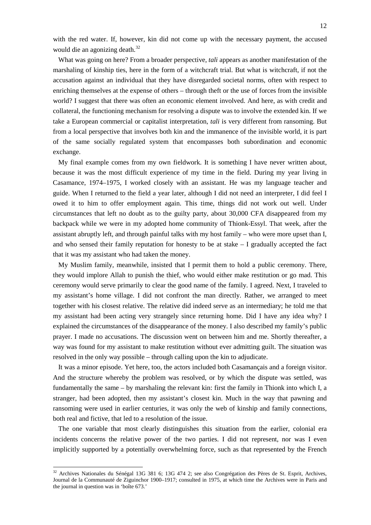with the red water. If, however, kin did not come up with the necessary payment, the accused would die an agonizing death.<sup>[32](#page-11-1)</sup>

What was going on here? From a broader perspective, *tali* appears as another manifestation of the marshaling of kinship ties, here in the form of a witchcraft trial. But what is witchcraft, if not the accusation against an individual that they have disregarded societal norms, often with respect to enriching themselves at the expense of others – through theft or the use of forces from the invisible world? I suggest that there was often an economic element involved. And here, as with credit and collateral, the functioning mechanism for resolving a dispute was to involve the extended kin. If we take a European commercial or capitalist interpretation, *tali* is very different from ransoming. But from a local perspective that involves both kin and the immanence of the invisible world, it is part of the same socially regulated system that encompasses both subordination and economic exchange.

My final example comes from my own fieldwork. It is something I have never written about, because it was the most difficult experience of my time in the field. During my year living in Casamance, 1974–1975, I worked closely with an assistant. He was my language teacher and guide. When I returned to the field a year later, although I did not need an interpreter, I did feel I owed it to him to offer employment again. This time, things did not work out well. Under circumstances that left no doubt as to the guilty party, about 30,000 CFA disappeared from my backpack while we were in my adopted home community of Thionk-Essyl. That week, after the assistant abruptly left, and through painful talks with my host family – who were more upset than I, and who sensed their family reputation for honesty to be at stake – I gradually accepted the fact that it was my assistant who had taken the money.

My Muslim family, meanwhile, insisted that I permit them to hold a public ceremony. There, they would implore Allah to punish the thief, who would either make restitution or go mad. This ceremony would serve primarily to clear the good name of the family. I agreed. Next, I traveled to my assistant's home village. I did not confront the man directly. Rather, we arranged to meet together with his closest relative. The relative did indeed serve as an intermediary; he told me that my assistant had been acting very strangely since returning home. Did I have any idea why? I explained the circumstances of the disappearance of the money. I also described my family's public prayer. I made no accusations. The discussion went on between him and me. Shortly thereafter, a way was found for my assistant to make restitution without ever admitting guilt. The situation was resolved in the only way possible – through calling upon the kin to adjudicate.

It was a minor episode. Yet here, too, the actors included both Casamançais and a foreign visitor. And the structure whereby the problem was resolved, or by which the dispute was settled, was fundamentally the same – by marshaling the relevant kin: first the family in Thionk into which I, a stranger, had been adopted, then my assistant's closest kin. Much in the way that pawning and ransoming were used in earlier centuries, it was only the web of kinship and family connections, both real and fictive, that led to a resolution of the issue.

The one variable that most clearly distinguishes this situation from the earlier, colonial era incidents concerns the relative power of the two parties. I did not represent, nor was I even implicitly supported by a potentially overwhelming force, such as that represented by the French

 <sup>32</sup> Archives Nationales du Sénégal 13G 381 6; 13G 474 2; see also Congrégation des Pères de St. Esprit, Archives, Journal de la Communauté de Ziguinchor 1900–1917; consulted in 1975, at which time the Archives were in Paris and the journal in question was in 'boîte 673.'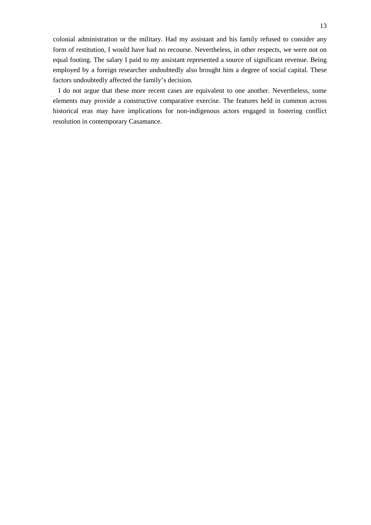colonial administration or the military. Had my assistant and his family refused to consider any form of restitution, I would have had no recourse. Nevertheless, in other respects, we were not on equal footing. The salary I paid to my assistant represented a source of significant revenue. Being employed by a foreign researcher undoubtedly also brought him a degree of social capital. These factors undoubtedly affected the family's decision.

I do not argue that these more recent cases are equivalent to one another. Nevertheless, some elements may provide a constructive comparative exercise. The features held in common across historical eras may have implications for non-indigenous actors engaged in fostering conflict resolution in contemporary Casamance.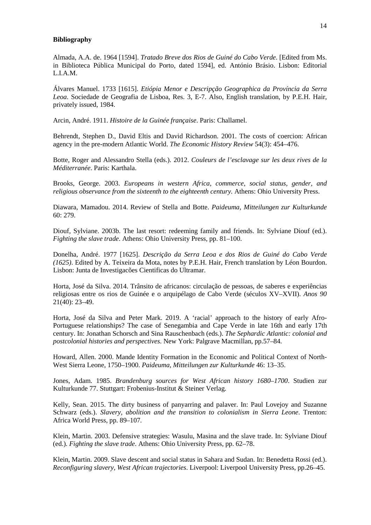#### **Bibliography**

Almada, A.A. de. 1964 [1594]. *Tratado Breve dos Rios de Guiné do Cabo Verde*. [Edited from Ms. in Biblioteca Pública Municipal do Porto, dated 1594], ed. António Brásio. Lisbon: Editorial L.I.A.M.

Álvares Manuel. 1733 [1615]. *Etiópia Menor e Descripção Geographica da Província da Serra Leoa*. Sociedade de Geografia de Lisboa, Res. 3, E-7. Also, English translation, by P.E.H. Hair, privately issued, 1984.

Arcin, André. 1911. *Histoire de la Guinée française*. Paris: Challamel.

Behrendt, Stephen D., David Eltis and David Richardson. 2001. The costs of coercion: African agency in the pre-modern Atlantic World. *The Economic History Review* 54(3): 454–476.

Botte, Roger and Alessandro Stella (eds.). 2012. *Couleurs de l'esclavage sur les deux rives de la Méditerranée*. Paris: Karthala.

Brooks, George. 2003. *Europeans in western Africa, commerce, social status, gender, and religious observance from the sixteenth to the eighteenth century.* Athens: Ohio University Press.

Diawara, Mamadou. 2014. Review of Stella and Botte. *Paideuma, Mitteilungen zur Kulturkunde* 60: 279.

Diouf, Sylviane. 2003b. The last resort: redeeming family and friends. In: Sylviane Diouf (ed.). *Fighting the slave trade*. Athens: Ohio University Press, pp. 81–100.

Donelha, André. 1977 [1625]. *Descrição da Serra Leoa e dos Rios de Guiné do Cabo Verde (1625)*. Edited by A. Teixeira da Mota, notes by P.E.H. Hair, French translation by Léon Bourdon. Lisbon: Junta de Investigacões Cientificas do Ultramar.

Horta, José da Silva. 2014. Trânsito de africanos: circulação de pessoas, de saberes e experiências religiosas entre os rios de Guinée e o arquipélago de Cabo Verde (séculos XV–XVII). *Anos 90* 21(40): 23–49.

Horta, José da Silva and Peter Mark. 2019. A 'racial' approach to the history of early Afro-Portuguese relationships? The case of Senegambia and Cape Verde in late 16th and early 17th century. In: Jonathan Schorsch and Sina Rauschenbach (eds.). *The Sephardic Atlantic: colonial and postcolonial histories and perspectives*. New York: Palgrave Macmillan, pp.57–84.

Howard, Allen. 2000. Mande Identity Formation in the Economic and Political Context of North-West Sierra Leone, 1750–1900. *Paideuma, Mitteilungen zur Kulturkunde* 46: 13–35.

Jones, Adam. 1985. *Brandenburg sources for West African history 1680–1700*. Studien zur Kulturkunde 77. Stuttgart: Frobenius-Institut & Steiner Verlag.

Kelly, Sean. 2015. The dirty business of panyarring and palaver. In: Paul Lovejoy and Suzanne Schwarz (eds.). *Slavery, abolition and the transition to colonialism in Sierra Leone*. Trenton: Africa World Press, pp. 89–107*.*

Klein, Martin. 2003. Defensive strategies: Wasulu, Masina and the slave trade. In: Sylviane Diouf (ed.). *Fighting the slave trade*. Athens: Ohio University Press, pp. 62–78.

Klein, Martin. 2009. Slave descent and social status in Sahara and Sudan. In: Benedetta Rossi (ed.). *Reconfiguring slavery, West African trajectories*. Liverpool: Liverpool University Press, pp.26–45.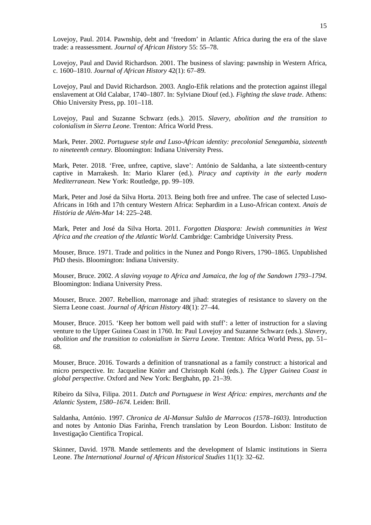Lovejoy, Paul. 2014. Pawnship, debt and 'freedom' in Atlantic Africa during the era of the slave trade: a reassessment. *Journal of African History* 55: 55–78.

Lovejoy, Paul and David Richardson. 2001. The business of slaving: pawnship in Western Africa, c. 1600–1810. *Journal of African History* 42(1): 67–89.

Lovejoy, Paul and David Richardson. 2003. Anglo-Efik relations and the protection against illegal enslavement at Old Calabar, 1740–1807. In: Sylviane Diouf (ed.). *Fighting the slave trade*. Athens: Ohio University Press, pp. 101–118.

Lovejoy, Paul and Suzanne Schwarz (eds.). 2015. *Slavery, abolition and the transition to colonialism in Sierra Leone.* Trenton: Africa World Press.

Mark, Peter. 2002. *Portuguese style and Luso-African identity: precolonial Senegambia, sixteenth to nineteenth century.* Bloomington: Indiana University Press.

Mark, Peter. 2018. 'Free, unfree, captive, slave': António de Saldanha, a late sixteenth-century captive in Marrakesh. In: Mario Klarer (ed.). *Piracy and captivity in the early modern Mediterranean.* New York: Routledge, pp. 99–109.

Mark, Peter and José da Silva Horta. 2013. Being both free and unfree. The case of selected Luso-Africans in 16th and 17th century Western Africa: Sephardim in a Luso-African context. *Anais de História de Além-Mar* 14: 225–248.

Mark, Peter and José da Silva Horta. 2011. *Forgotten Diaspora: Jewish communities in West Africa and the creation of the Atlantic World.* Cambridge: Cambridge University Press.

Mouser, Bruce. 1971. Trade and politics in the Nunez and Pongo Rivers, 1790–1865. Unpublished PhD thesis. Bloomington: Indiana University.

Mouser, Bruce. 2002. *A slaving voyage to Africa and Jamaica, the log of the Sandown 1793–1794.* Bloomington: Indiana University Press.

Mouser, Bruce. 2007. Rebellion, marronage and jihad: strategies of resistance to slavery on the Sierra Leone coast. *Journal of African History* 48(1): 27–44.

Mouser, Bruce. 2015. 'Keep her bottom well paid with stuff': a letter of instruction for a slaving venture to the Upper Guinea Coast in 1760. In: Paul Lovejoy and Suzanne Schwarz (eds.). *Slavery, abolition and the transition to colonialism in Sierra Leone*. Trenton: Africa World Press, pp. 51– 68.

Mouser, Bruce. 2016. Towards a definition of transnational as a family construct: a historical and micro perspective. In: Jacqueline Knörr and Christoph Kohl (eds.). *The Upper Guinea Coast in global perspective*. Oxford and New York: Berghahn, pp. 21–39.

Ribeiro da Silva, Filipa. 2011. *Dutch and Portuguese in West Africa: empires, merchants and the Atlantic System, 1580–1674.* Leiden: Brill.

Saldanha, António. 1997. *Chronica de Al-Mansur Sultão de Marrocos (1578–1603)*. Introduction and notes by Antonio Dias Farinha, French translation by Leon Bourdon. Lisbon: Instituto de Investigação Cientifica Tropical.

Skinner, David. 1978. Mande settlements and the development of Islamic institutions in Sierra Leone. *The International Journal of African Historical Studies* 11(1): 32–62.